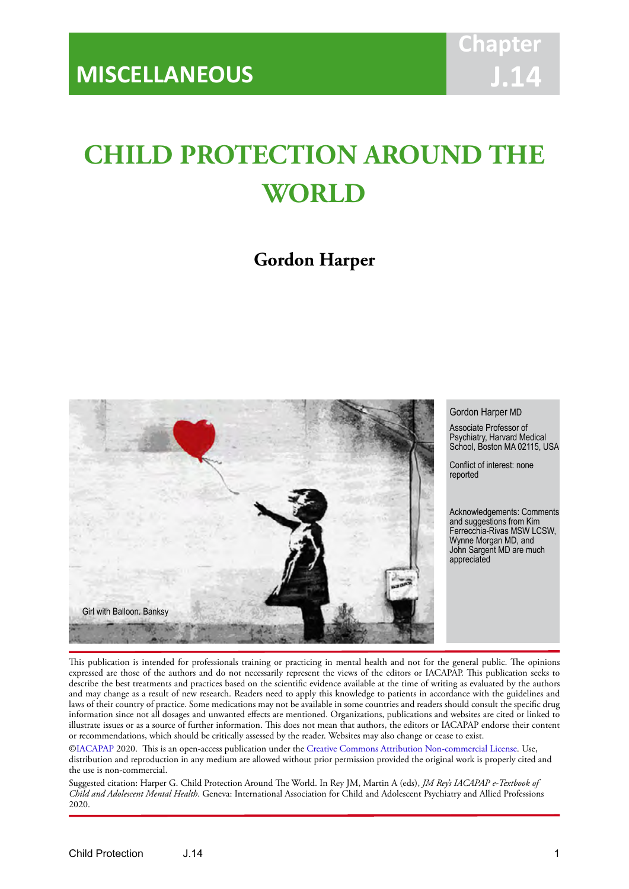# **CHILD PROTECTION AROUND THE WORLD**

# **Gordon Harper**



#### Gordon Harper MD

Associate Professor of Psychiatry, Harvard Medical School, Boston MA 02115, USA

Conflict of interest: none reported

Acknowledgements: Comments and suggestions from Kim Ferrecchia-Rivas MSW LCSW, Wynne Morgan MD, and John Sargent MD are much appreciated

This publication is intended for professionals training or practicing in mental health and not for the general public. The opinions expressed are those of the authors and do not necessarily represent the views of the editors or IACAPAP. This publication seeks to describe the best treatments and practices based on the scientific evidence available at the time of writing as evaluated by the authors and may change as a result of new research. Readers need to apply this knowledge to patients in accordance with the guidelines and laws of their country of practice. Some medications may not be available in some countries and readers should consult the specific drug information since not all dosages and unwanted effects are mentioned. Organizations, publications and websites are cited or linked to illustrate issues or as a source of further information. This does not mean that authors, the editors or IACAPAP endorse their content or recommendations, which should be critically assessed by the reader. Websites may also change or cease to exist.

[©IACAPAP](http://iacapap.org/) 2020. This is an open-access publication under the [Creative Commons Attribution Non-commercial License](http://creativecommons.org/licenses/by-nc/2.0/). Use, distribution and reproduction in any medium are allowed without prior permission provided the original work is properly cited and the use is non-commercial.

Suggested citation: Harper G. Child Protection Around The World. In Rey JM, Martin A (eds), *JM Rey's IACAPAP e-Textbook of Child and Adolescent Mental Health*. Geneva: International Association for Child and Adolescent Psychiatry and Allied Professions 2020.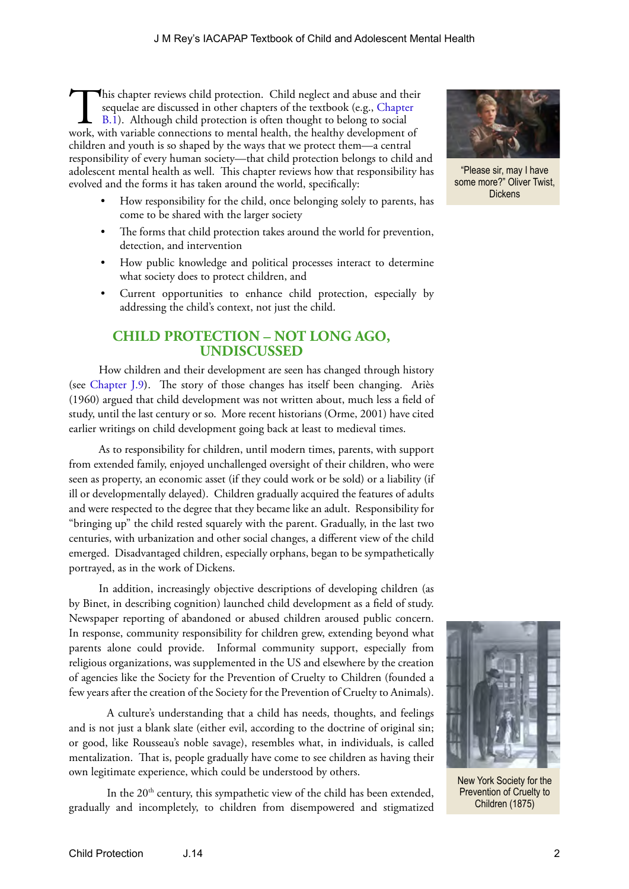This chapter reviews child protection. Child neglect and abus[e and thei](https://iacapap.org/content/uploads/B.1-CHILD-MALTREATMENT-0720121.pdf)r sequelae are discussed in other chapters of the textbook (e.g., Chapter B.1). Although child protection is often thought to belong to social work, wi sequelae are discussed in other chapters of the textbook (e.g., Chapter B.1). Although child protection is often thought to belong to social work, with variable connections to mental health, the healthy development of children and youth is so shaped by the ways that we protect them—a central responsibility of every human society—that child protection belongs to child and adolescent mental health as well. This chapter reviews how that responsibility has evolved and the forms it has taken around the world, specifically:

- How responsibility for the child, once belonging solely to parents, has come to be shared with the larger society
- The forms that child protection takes around the world for prevention, detection, and intervention
- How public knowledge and political processes interact to determine what society does to protect children, and
- Current opportunities to enhance child protection, especially by addressing the child's context, not just the child.

### **CHILD PROTECTION – NOT LONG AGO, UNDISCUSSED**

How children and their development are seen has changed through history (see [Chapter J.9](https://iacapap.org/content/uploads/J.9-HISTORY-OF-CHILDHOOD-2015.pdf)**)**. The story of those changes has itself been changing. Ariès (1960) argued that child development was not written about, much less a field of study, until the last century or so. More recent historians (Orme, 2001) have cited earlier writings on child development going back at least to medieval times.

As to responsibility for children, until modern times, parents, with support from extended family, enjoyed unchallenged oversight of their children, who were seen as property, an economic asset (if they could work or be sold) or a liability (if ill or developmentally delayed). Children gradually acquired the features of adults and were respected to the degree that they became like an adult. Responsibility for "bringing up" the child rested squarely with the parent. Gradually, in the last two centuries, with urbanization and other social changes, a different view of the child emerged. Disadvantaged children, especially orphans, began to be sympathetically portrayed, as in the work of Dickens.

In addition, increasingly objective descriptions of developing children (as by Binet, in describing cognition) launched child development as a field of study. Newspaper reporting of abandoned or abused children aroused public concern. In response, community responsibility for children grew, extending beyond what parents alone could provide. Informal community support, especially from religious organizations, was supplemented in the US and elsewhere by the creation of agencies like the Society for the Prevention of Cruelty to Children (founded a few years after the creation of the Society for the Prevention of Cruelty to Animals).

A culture's understanding that a child has needs, thoughts, and feelings and is not just a blank slate (either evil, according to the doctrine of original sin; or good, like Rousseau's noble savage), resembles what, in individuals, is called mentalization. That is, people gradually have come to see children as having their own legitimate experience, which could be understood by others.

In the  $20<sup>th</sup>$  century, this sympathetic view of the child has been extended, gradually and incompletely, to children from disempowered and stigmatized



"Please sir, may I have some more?" Oliver Twist, Dickens



New York Society for the Prevention of Cruelty to Children (1875)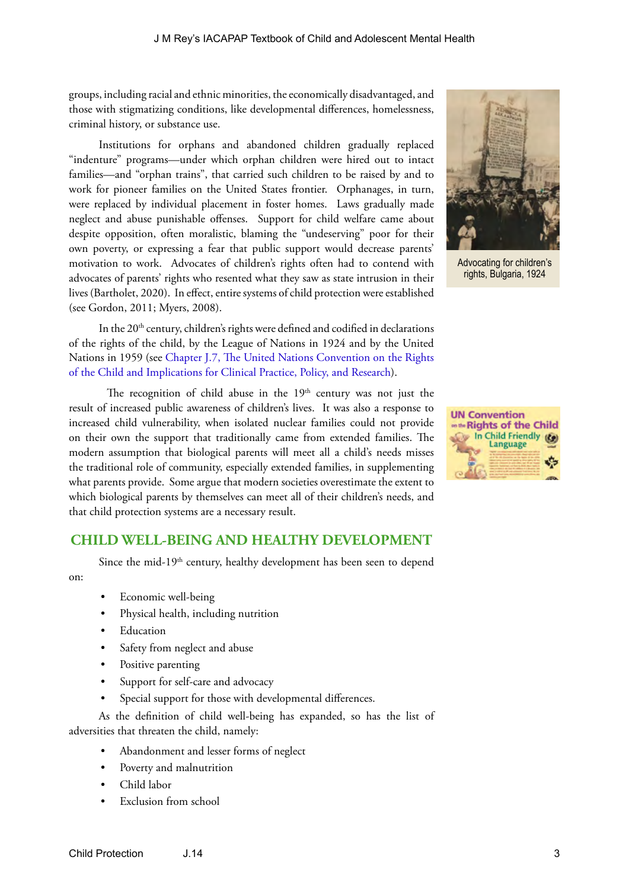groups, including racial and ethnic minorities, the economically disadvantaged, and those with stigmatizing conditions, like developmental differences, homelessness, criminal history, or substance use.

Institutions for orphans and abandoned children gradually replaced "indenture" programs—under which orphan children were hired out to intact families—and "orphan trains", that carried such children to be raised by and to work for pioneer families on the United States frontier. Orphanages, in turn, were replaced by individual placement in foster homes. Laws gradually made neglect and abuse punishable offenses. Support for child welfare came about despite opposition, often moralistic, blaming the "undeserving" poor for their own poverty, or expressing a fear that public support would decrease parents' motivation to work. Advocates of children's rights often had to contend with advocates of parents' rights who resented what they saw as state intrusion in their lives (Bartholet, 2020). In effect, entire systems of child protection were established (see Gordon, 2011; Myers, 2008).

In the 20<sup>th</sup> century, children's rights were defined and codified in declarations of the rights of the child, by the League of Nations in 1924 and by the United Nations in 1959 (see [Chapter J.7, The United Nations Convention on the Rights](https://iacapap.org/content/uploads/J.7-UN-CONVENTION-072012.pdf)  [of the Child and Implications for Clinical Practice, Policy, and Research\)](https://iacapap.org/content/uploads/J.7-UN-CONVENTION-072012.pdf).

The recognition of child abuse in the  $19<sup>th</sup>$  century was not just the result of increased public awareness of children's lives. It was also a response to increased child vulnerability, when isolated nuclear families could not provide on their own the support that traditionally came from extended families. The modern assumption that biological parents will meet all a child's needs misses the traditional role of community, especially extended families, in supplementing what parents provide. Some argue that modern societies overestimate the extent to which biological parents by themselves can meet all of their children's needs, and that child protection systems are a necessary result.

#### **CHILD WELL-BEING AND HEALTHY DEVELOPMENT**

Since the mid-19<sup>th</sup> century, healthy development has been seen to depend on:

- Economic well-being
- Physical health, including nutrition
- **Education**
- Safety from neglect and abuse
- Positive parenting
- Support for self-care and advocacy
- Special support for those with developmental differences.

As the definition of child well-being has expanded, so has the list of adversities that threaten the child, namely:

- Abandonment and lesser forms of neglect
- Poverty and malnutrition
- Child labor
- Exclusion from school



Advocating for children's rights, Bulgaria, 1924

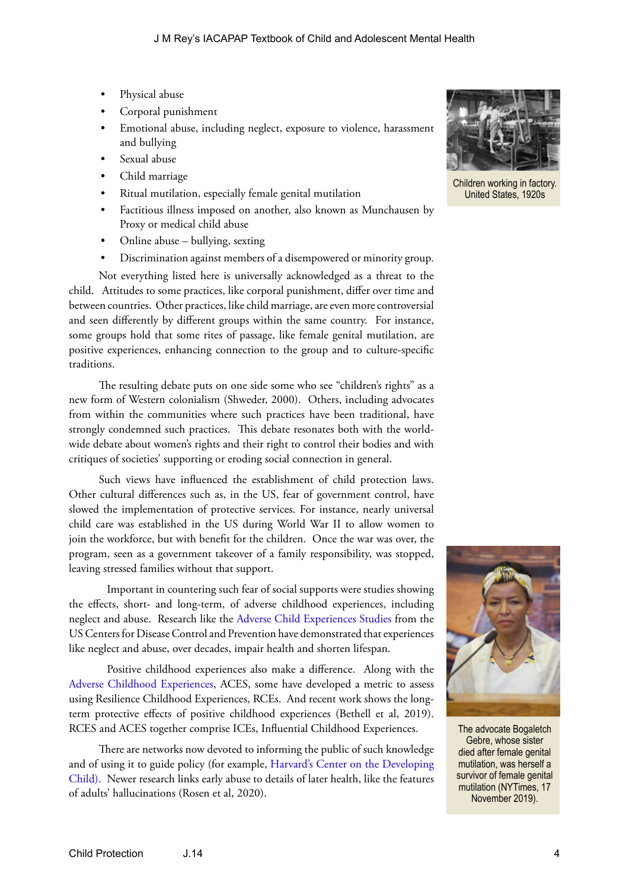- Physical abuse
- Corporal punishment
- Emotional abuse, including neglect, exposure to violence, harassment and bullying
- Sexual abuse
- Child marriage
- Ritual mutilation, especially female genital mutilation
- Factitious illness imposed on another, also known as Munchausen by Proxy or medical child abuse
- Online abuse bullying, sexting
- Discrimination against members of a disempowered or minority group.

Not everything listed here is universally acknowledged as a threat to the child. Attitudes to some practices, like corporal punishment, differ over time and between countries. Other practices, like child marriage, are even more controversial and seen differently by different groups within the same country. For instance, some groups hold that some rites of passage, like female genital mutilation, are positive experiences, enhancing connection to the group and to culture-specific traditions.

The resulting debate puts on one side some who see "children's rights" as a new form of Western colonialism (Shweder, 2000). Others, including advocates from within the communities where such practices have been traditional, have strongly condemned such practices. This debate resonates both with the worldwide debate about women's rights and their right to control their bodies and with critiques of societies' supporting or eroding social connection in general.

Such views have influenced the establishment of child protection laws. Other cultural differences such as, in the US, fear of government control, have slowed the implementation of protective services. For instance, nearly universal child care was established in the US during World War II to allow women to join the workforce, but with benefit for the children. Once the war was over, the program, seen as a government takeover of a family responsibility, was stopped, leaving stressed families without that support.

Important in countering such fear of social supports were studies showing the effects, short- and long-term, of adverse childhood experiences, including neglect and abuse. Research like the [Adverse Child Experiences Studies](https://www.cdc.gov/violenceprevention/childabuseandneglect/acestudy/) from the US Centers for Disease Control and Prevention have demonstrated that experiences like neglect and abuse, over decades, impair health and shorten lifespan.

Positive childhood experiences also make a difference. Along with the [Adverse Childhood Experiences](https://www.cdc.gov/violenceprevention/childabuseandneglect/acestudy/), ACES, some have developed a metric to assess using Resilience Childhood Experiences, RCEs. And recent work shows the longterm protective effects of positive childhood experiences (Bethell et al, 2019). RCES and ACES together comprise ICEs, Influential Childhood Experiences.

There are networks now devoted to informing the public of such knowledge and of using it to guide policy (for example, [Harvard's Center on the Developing](https://developingchild.harvard.edu/)  [Child\).](https://developingchild.harvard.edu/) Newer research links early abuse to details of later health, like the features of adults' hallucinations (Rosen et al, 2020).



Children working in factory. United States, 1920s



The advocate Bogaletch Gebre, whose sister died after female genital mutilation, was herself a survivor of female genital mutilation (NYTimes, 17 November 2019).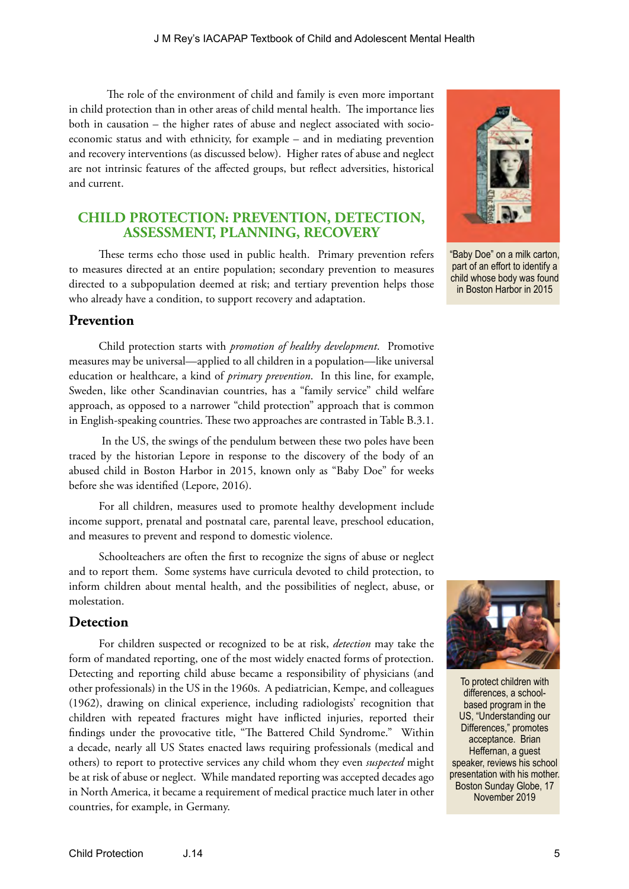The role of the environment of child and family is even more important in child protection than in other areas of child mental health. The importance lies both in causation – the higher rates of abuse and neglect associated with socioeconomic status and with ethnicity, for example – and in mediating prevention and recovery interventions (as discussed below). Higher rates of abuse and neglect are not intrinsic features of the affected groups, but reflect adversities, historical and current.

### **CHILD PROTECTION: PREVENTION, DETECTION, ASSESSMENT, PLANNING, RECOVERY**

These terms echo those used in public health. Primary prevention refers to measures directed at an entire population; secondary prevention to measures directed to a subpopulation deemed at risk; and tertiary prevention helps those who already have a condition, to support recovery and adaptation.

#### **Prevention**

Child protection starts with *promotion of healthy development*. Promotive measures may be universal—applied to all children in a population—like universal education or healthcare, a kind of *primary prevention*. In this line, for example, Sweden, like other Scandinavian countries, has a "family service" child welfare approach, as opposed to a narrower "child protection" approach that is common in English-speaking countries. These two approaches are contrasted in Table B.3.1.

 In the US, the swings of the pendulum between these two poles have been traced by the historian Lepore in response to the discovery of the body of an abused child in Boston Harbor in 2015, known only as "Baby Doe" for weeks before she was identified (Lepore, 2016).

For all children, measures used to promote healthy development include income support, prenatal and postnatal care, parental leave, preschool education, and measures to prevent and respond to domestic violence.

Schoolteachers are often the first to recognize the signs of abuse or neglect and to report them. Some systems have curricula devoted to child protection, to inform children about mental health, and the possibilities of neglect, abuse, or molestation.

#### **Detection**

For children suspected or recognized to be at risk, *detection* may take the form of mandated reporting, one of the most widely enacted forms of protection. Detecting and reporting child abuse became a responsibility of physicians (and other professionals) in the US in the 1960s. A pediatrician, Kempe, and colleagues (1962), drawing on clinical experience, including radiologists' recognition that children with repeated fractures might have inflicted injuries, reported their findings under the provocative title, "The Battered Child Syndrome." Within a decade, nearly all US States enacted laws requiring professionals (medical and others) to report to protective services any child whom they even *suspected* might be at risk of abuse or neglect. While mandated reporting was accepted decades ago in North America, it became a requirement of medical practice much later in other countries, for example, in Germany.



"Baby Doe" on a milk carton, part of an effort to identify a child whose body was found in Boston Harbor in 2015



To protect children with differences, a schoolbased program in the US, "Understanding our Differences," promotes acceptance. Brian Heffernan, a guest speaker, reviews his school presentation with his mother. Boston Sunday Globe, 17 November 2019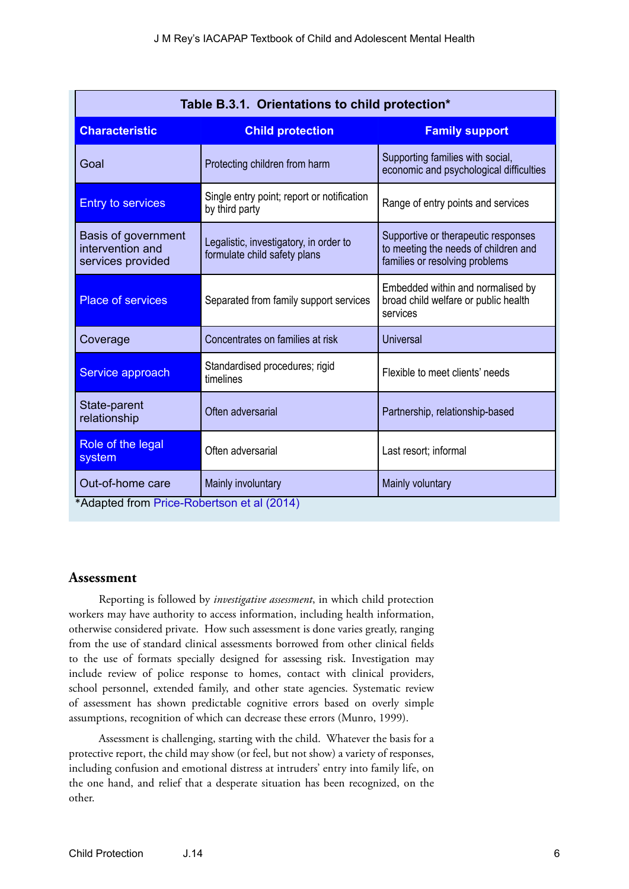| Table B.3.1. Orientations to child protection*               |                                                                        |                                                                                                               |  |  |  |
|--------------------------------------------------------------|------------------------------------------------------------------------|---------------------------------------------------------------------------------------------------------------|--|--|--|
| <b>Characteristic</b>                                        | <b>Child protection</b>                                                | <b>Family support</b>                                                                                         |  |  |  |
| Goal                                                         | Protecting children from harm                                          | Supporting families with social,<br>economic and psychological difficulties                                   |  |  |  |
| <b>Entry to services</b>                                     | Single entry point; report or notification<br>by third party           | Range of entry points and services                                                                            |  |  |  |
| Basis of government<br>intervention and<br>services provided | Legalistic, investigatory, in order to<br>formulate child safety plans | Supportive or therapeutic responses<br>to meeting the needs of children and<br>families or resolving problems |  |  |  |
| <b>Place of services</b>                                     | Separated from family support services                                 | Embedded within and normalised by<br>broad child welfare or public health<br>services                         |  |  |  |
| Coverage                                                     | Concentrates on families at risk                                       | <b>Universal</b>                                                                                              |  |  |  |
| Service approach                                             | Standardised procedures; rigid<br>timelines                            | Flexible to meet clients' needs                                                                               |  |  |  |
| State-parent<br>relationship                                 | Often adversarial                                                      | Partnership, relationship-based                                                                               |  |  |  |
| Role of the legal<br>system                                  | Often adversarial                                                      | Last resort; informal                                                                                         |  |  |  |
| Out-of-home care                                             | Mainly involuntary                                                     | Mainly voluntary                                                                                              |  |  |  |
| *Adapted from Price-Robertson et al (2014)                   |                                                                        |                                                                                                               |  |  |  |

#### **Assessment**

Reporting is followed by *investigative assessment*, in which child protection workers may have authority to access information, including health information, otherwise considered private. How such assessment is done varies greatly, ranging from the use of standard clinical assessments borrowed from other clinical fields to the use of formats specially designed for assessing risk. Investigation may include review of police response to homes, contact with clinical providers, school personnel, extended family, and other state agencies. Systematic review of assessment has shown predictable cognitive errors based on overly simple assumptions, recognition of which can decrease these errors (Munro, 1999).

Assessment is challenging, starting with the child. Whatever the basis for a protective report, the child may show (or feel, but not show) a variety of responses, including confusion and emotional distress at intruders' entry into family life, on the one hand, and relief that a desperate situation has been recognized, on the other.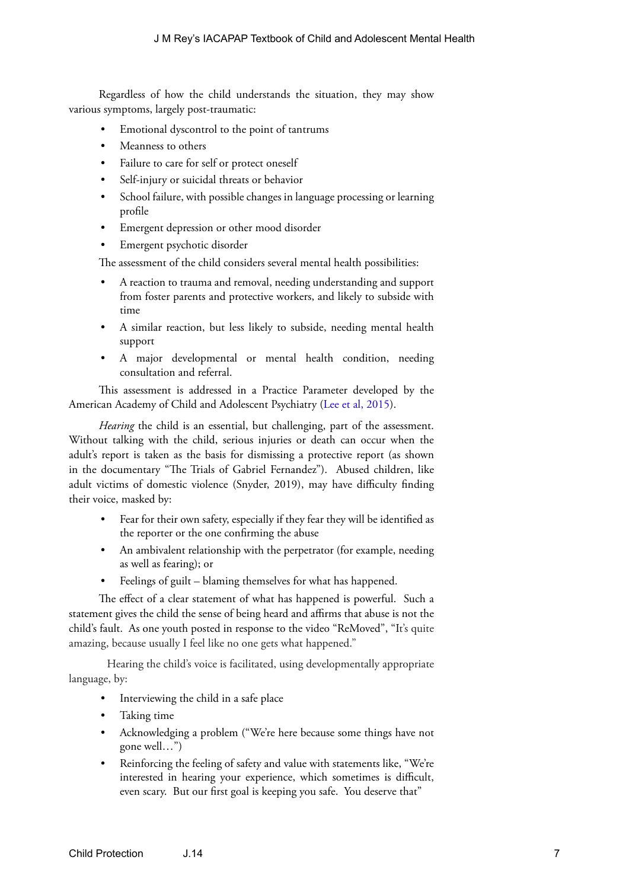Regardless of how the child understands the situation, they may show various symptoms, largely post-traumatic:

- Emotional dyscontrol to the point of tantrums
- Meanness to others
- Failure to care for self or protect oneself
- Self-injury or suicidal threats or behavior
- School failure, with possible changes in language processing or learning profile
- Emergent depression or other mood disorder
- Emergent psychotic disorder

The assessment of the child considers several mental health possibilities:

- A reaction to trauma and removal, needing understanding and support from foster parents and protective workers, and likely to subside with time
- A similar reaction, but less likely to subside, needing mental health support
- A major developmental or mental health condition, needing consultation and referral.

This assessment is addressed in a Practice Parameter developed by the American Academy of Child and Adolescent Psychiatry [\(Lee et al, 2015\)](https://jaacap.org/article/S0890-8567(15)00148-3/fulltext).

*Hearing* the child is an essential, but challenging, part of the assessment. Without talking with the child, serious injuries or death can occur when the adult's report is taken as the basis for dismissing a protective report (as shown in the documentary "The Trials of Gabriel Fernandez"). Abused children, like adult victims of domestic violence (Snyder, 2019), may have difficulty finding their voice, masked by:

- Fear for their own safety, especially if they fear they will be identified as the reporter or the one confirming the abuse
- An ambivalent relationship with the perpetrator (for example, needing as well as fearing); or
- Feelings of guilt blaming themselves for what has happened.

The effect of a clear statement of what has happened is powerful. Such a statement gives the child the sense of being heard and affirms that abuse is not the child's fault. As one youth posted in response to the video "ReMoved", "It's quite amazing, because usually I feel like no one gets what happened."

Hearing the child's voice is facilitated, using developmentally appropriate language, by:

- Interviewing the child in a safe place
- Taking time
- Acknowledging a problem ("We're here because some things have not gone well…")
- Reinforcing the feeling of safety and value with statements like, "We're interested in hearing your experience, which sometimes is difficult, even scary. But our first goal is keeping you safe. You deserve that"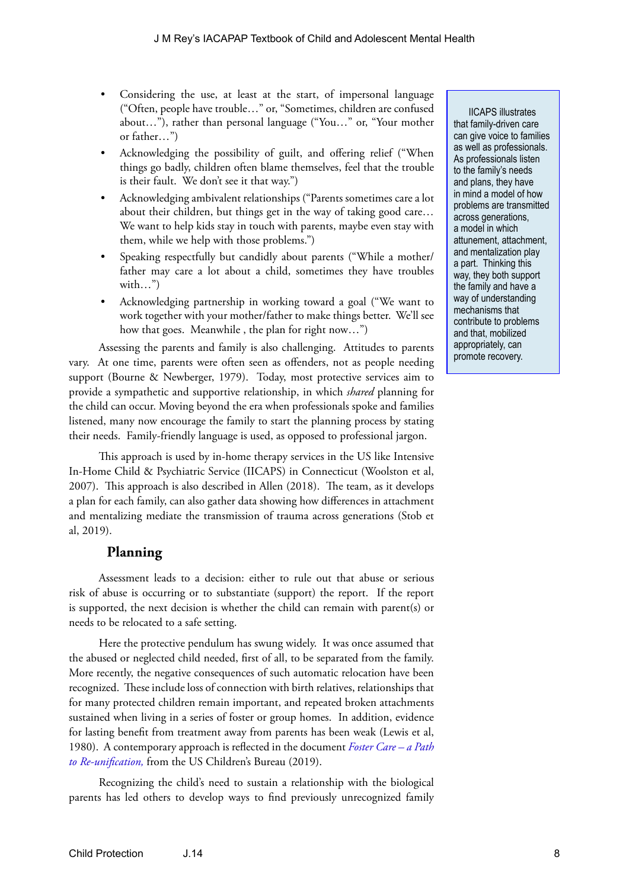- Considering the use, at least at the start, of impersonal language ("Often, people have trouble…" or, "Sometimes, children are confused about…"), rather than personal language ("You…" or, "Your mother or father…")
- Acknowledging the possibility of guilt, and offering relief ("When things go badly, children often blame themselves, feel that the trouble is their fault. We don't see it that way.")
- Acknowledging ambivalent relationships ("Parents sometimes care a lot about their children, but things get in the way of taking good care… We want to help kids stay in touch with parents, maybe even stay with them, while we help with those problems.")
- Speaking respectfully but candidly about parents ("While a mother/ father may care a lot about a child, sometimes they have troubles with…")
- Acknowledging partnership in working toward a goal ("We want to work together with your mother/father to make things better. We'll see how that goes. Meanwhile, the plan for right now...")

Assessing the parents and family is also challenging. Attitudes to parents vary. At one time, parents were often seen as offenders, not as people needing support (Bourne & Newberger, 1979). Today, most protective services aim to provide a sympathetic and supportive relationship, in which *shared* planning for the child can occur. Moving beyond the era when professionals spoke and families listened, many now encourage the family to start the planning process by stating their needs. Family-friendly language is used, as opposed to professional jargon.

This approach is used by in-home therapy services in the US like Intensive In-Home Child & Psychiatric Service (IICAPS) in Connecticut (Woolston et al, 2007). This approach is also described in Allen (2018). The team, as it develops a plan for each family, can also gather data showing how differences in attachment and mentalizing mediate the transmission of trauma across generations (Stob et al, 2019).

## **Planning**

Assessment leads to a decision: either to rule out that abuse or serious risk of abuse is occurring or to substantiate (support) the report. If the report is supported, the next decision is whether the child can remain with parent(s) or needs to be relocated to a safe setting.

Here the protective pendulum has swung widely. It was once assumed that the abused or neglected child needed, first of all, to be separated from the family. More recently, the negative consequences of such automatic relocation have been recognized. These include loss of connection with birth relatives, relationships that for many protected children remain important, and repeated broken attachments sustained when living in a series of foster or group homes. In addition, evidence for lasting benefit from treatment away from parents has been weak (Lewis et al, 1980). A contemporary approach is reflected in the document *[Foster Care – a Path](https://www.acf.hhs.gov/cb/resource/child-welfare-podcast-foster-care-part1)  [to Re-unification,](https://www.acf.hhs.gov/cb/resource/child-welfare-podcast-foster-care-part1)* from the US Children's Bureau (2019).

Recognizing the child's need to sustain a relationship with the biological parents has led others to develop ways to find previously unrecognized family

IICAPS illustrates that family-driven care can give voice to families as well as professionals. As professionals listen to the family's needs and plans, they have in mind a model of how problems are transmitted across generations, a model in which attunement, attachment, and mentalization play a part. Thinking this way, they both support the family and have a way of understanding mechanisms that contribute to problems and that, mobilized appropriately, can promote recovery.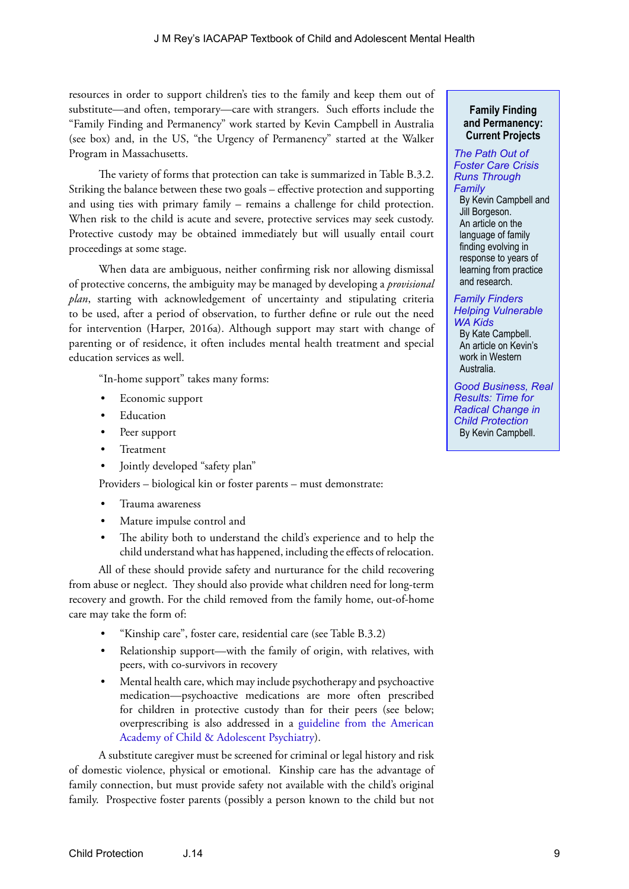resources in order to support children's ties to the family and keep them out of substitute—and often, temporary—care with strangers. Such efforts include the "Family Finding and Permanency" work started by Kevin Campbell in Australia (see box) and, in the US, "the Urgency of Permanency" started at the Walker Program in Massachusetts.

The variety of forms that protection can take is summarized in Table B.3.2. Striking the balance between these two goals – effective protection and supporting and using ties with primary family – remains a challenge for child protection. When risk to the child is acute and severe, protective services may seek custody. Protective custody may be obtained immediately but will usually entail court proceedings at some stage.

When data are ambiguous, neither confirming risk nor allowing dismissal of protective concerns, the ambiguity may be managed by developing a *provisional plan*, starting with acknowledgement of uncertainty and stipulating criteria to be used, after a period of observation, to further define or rule out the need for intervention (Harper, 2016a). Although support may start with change of parenting or of residence, it often includes mental health treatment and special education services as well.

"In-home support" takes many forms:

- Economic support
- **Education**
- Peer support
- **Treatment**
- Jointly developed "safety plan"

Providers – biological kin or foster parents – must demonstrate:

- Trauma awareness
- Mature impulse control and
- The ability both to understand the child's experience and to help the child understand what has happened, including the effects of relocation.

All of these should provide safety and nurturance for the child recovering from abuse or neglect. They should also provide what children need for long-term recovery and growth. For the child removed from the family home, out-of-home care may take the form of:

- "Kinship care", foster care, residential care (see Table B.3.2)
- Relationship support—with the family of origin, with relatives, with peers, with co-survivors in recovery
- Mental health care, which may include psychotherapy and psychoactive medication—psychoactive medications are more often prescribed for children in protective custody than for their peers (see below; overprescribing is also addressed in a [guideline from the American](https://www.aacap.org/App_Themes/AACAP/docs/clinical_practice_center/systems_of_care/AACAP_Psychotropic_Medication_Recommendations_2015_FINAL.pdf)  [Academy of Child & Adolescent Psychiatry\)](https://www.aacap.org/App_Themes/AACAP/docs/clinical_practice_center/systems_of_care/AACAP_Psychotropic_Medication_Recommendations_2015_FINAL.pdf).

A substitute caregiver must be screened for criminal or legal history and risk of domestic violence, physical or emotional. Kinship care has the advantage of family connection, but must provide safety not available with the child's original family. Prospective foster parents (possibly a person known to the child but not

#### **Family Finding and Permanency: Current Projects**

#### *[The Path Out of](https://chronicleofsocialchange.org/child-welfare-2/path-foster-care-crisis-runs-family/28707)  [Foster Care Crisis](https://chronicleofsocialchange.org/child-welfare-2/path-foster-care-crisis-runs-family/28707)  [Runs Through](https://chronicleofsocialchange.org/child-welfare-2/path-foster-care-crisis-runs-family/28707)  [Family](https://chronicleofsocialchange.org/child-welfare-2/path-foster-care-crisis-runs-family/28707)*

By Kevin Campbell and Jill Borgeson. An article on the language of family finding evolving in response to years of learning from practice and research.

#### *[Family Finders](https://www.perthnow.com.au/news/wa/family-finders-helping-vulnerable-wa-kids-ng-3be9f6ac776b34cd26f913623d7c323d)  [Helping Vulnerable](https://www.perthnow.com.au/news/wa/family-finders-helping-vulnerable-wa-kids-ng-3be9f6ac776b34cd26f913623d7c323d)  [WA Kids](https://www.perthnow.com.au/news/wa/family-finders-helping-vulnerable-wa-kids-ng-3be9f6ac776b34cd26f913623d7c323d)*

By Kate Campbell. An article on Kevin's work in Western Australia.

*[Good Business, Real](https://chronicleofsocialchange.org/opinion/good-business-real-results-time-radical-change-child-protection/24389)  [Results: Time for](https://chronicleofsocialchange.org/opinion/good-business-real-results-time-radical-change-child-protection/24389)  [Radical Change in](https://chronicleofsocialchange.org/opinion/good-business-real-results-time-radical-change-child-protection/24389)  [Child Protection](https://chronicleofsocialchange.org/opinion/good-business-real-results-time-radical-change-child-protection/24389)* By Kevin Campbell.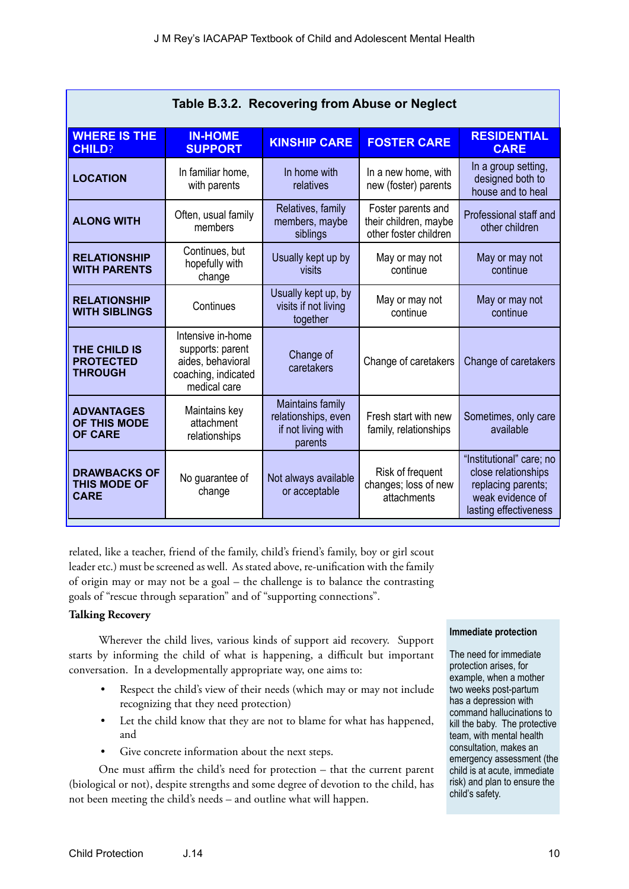| Table B.3.2. Recovering from Abuse or Neglect             |                                                                                                   |                                                                          |                                                                      |                                                                                                                    |  |
|-----------------------------------------------------------|---------------------------------------------------------------------------------------------------|--------------------------------------------------------------------------|----------------------------------------------------------------------|--------------------------------------------------------------------------------------------------------------------|--|
| <b>WHERE IS THE</b><br><b>CHILD?</b>                      | <b>IN-HOME</b><br><b>SUPPORT</b>                                                                  | <b>KINSHIP CARE</b>                                                      | <b>FOSTER CARE</b>                                                   | <b>RESIDENTIAL</b><br><b>CARE</b>                                                                                  |  |
| <b>LOCATION</b>                                           | In familiar home,<br>with parents                                                                 | In home with<br>relatives                                                | In a new home, with<br>new (foster) parents                          | In a group setting,<br>designed both to<br>house and to heal                                                       |  |
| <b>ALONG WITH</b>                                         | Often, usual family<br>members                                                                    | Relatives, family<br>members, maybe<br>siblings                          | Foster parents and<br>their children, maybe<br>other foster children | Professional staff and<br>other children                                                                           |  |
| <b>RELATIONSHIP</b><br><b>WITH PARENTS</b>                | Continues, but<br>hopefully with<br>change                                                        | Usually kept up by<br>visits                                             | May or may not<br>continue                                           | May or may not<br>continue                                                                                         |  |
| <b>RELATIONSHIP</b><br><b>WITH SIBLINGS</b>               | Continues                                                                                         | Usually kept up, by<br>visits if not living<br>together                  | May or may not<br>continue                                           | May or may not<br>continue                                                                                         |  |
| THE CHILD IS<br><b>PROTECTED</b><br><b>THROUGH</b>        | Intensive in-home<br>supports: parent<br>aides, behavioral<br>coaching, indicated<br>medical care | Change of<br>caretakers                                                  | Change of caretakers                                                 | Change of caretakers                                                                                               |  |
| <b>ADVANTAGES</b><br>OF THIS MODE<br><b>OF CARE</b>       | Maintains key<br>attachment<br>relationships                                                      | Maintains family<br>relationships, even<br>if not living with<br>parents | Fresh start with new<br>family, relationships                        | Sometimes, only care<br>available                                                                                  |  |
| <b>DRAWBACKS OF</b><br><b>THIS MODE OF</b><br><b>CARE</b> | No guarantee of<br>change                                                                         | Not always available<br>or acceptable                                    | Risk of frequent<br>changes; loss of new<br>attachments              | "Institutional" care; no<br>close relationships<br>replacing parents;<br>weak evidence of<br>lasting effectiveness |  |

related, like a teacher, friend of the family, child's friend's family, boy or girl scout leader etc.) must be screened as well. As stated above, re-unification with the family of origin may or may not be a goal – the challenge is to balance the contrasting goals of "rescue through separation" and of "supporting connections".

#### **Talking Recovery**

Wherever the child lives, various kinds of support aid recovery. Support starts by informing the child of what is happening, a difficult but important conversation. In a developmentally appropriate way, one aims to:

- Respect the child's view of their needs (which may or may not include recognizing that they need protection)
- Let the child know that they are not to blame for what has happened, and
- Give concrete information about the next steps.

One must affirm the child's need for protection – that the current parent (biological or not), despite strengths and some degree of devotion to the child, has not been meeting the child's needs – and outline what will happen.

#### **Immediate protection**

The need for immediate protection arises, for example, when a mother two weeks post-partum has a depression with command hallucinations to kill the baby. The protective team, with mental health consultation, makes an emergency assessment (the child is at acute, immediate risk) and plan to ensure the child's safety.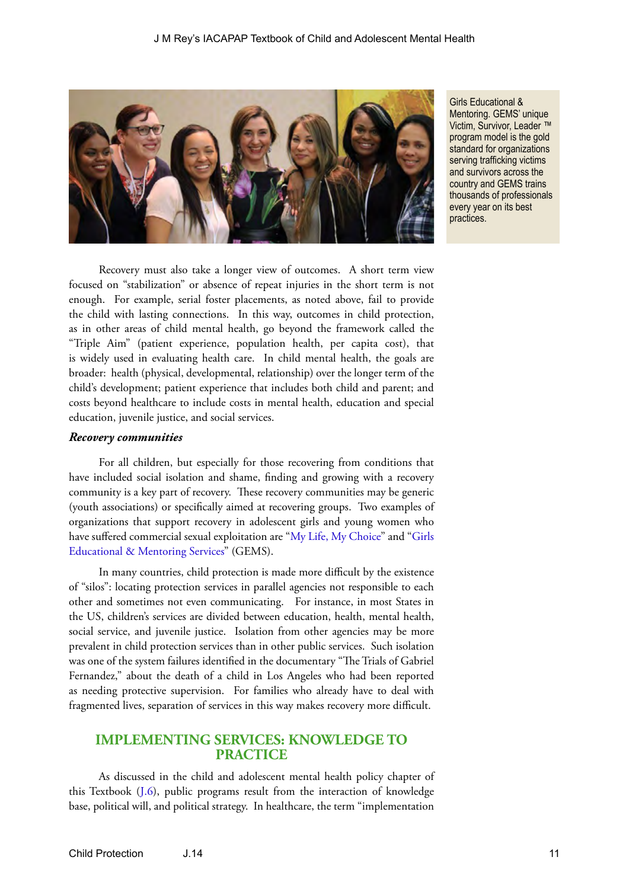

Girls Educational & Mentoring. GEMS' unique Victim, Survivor, Leader ™ program model is the gold standard for organizations serving trafficking victims and survivors across the country and GEMS trains thousands of professionals every year on its best practices.

Recovery must also take a longer view of outcomes. A short term view focused on "stabilization" or absence of repeat injuries in the short term is not enough. For example, serial foster placements, as noted above, fail to provide the child with lasting connections. In this way, outcomes in child protection, as in other areas of child mental health, go beyond the framework called the "Triple Aim" (patient experience, population health, per capita cost), that is widely used in evaluating health care. In child mental health, the goals are broader: health (physical, developmental, relationship) over the longer term of the child's development; patient experience that includes both child and parent; and costs beyond healthcare to include costs in mental health, education and special education, juvenile justice, and social services.

#### *Recovery communities*

For all children, but especially for those recovering from conditions that have included social isolation and shame, finding and growing with a recovery community is a key part of recovery. These recovery communities may be generic (youth associations) or specifically aimed at recovering groups. Two examples of organizations that support recovery in adolescent girls and young women who have suffered commercial sexual exploitation are "[My Life, My Choice](https://en.wikipedia.org/wiki/My_Life_My_Choice)" and ["Girls](https://www.gems-girls.org/)  [Educational & Mentoring Services](https://www.gems-girls.org/)" (GEMS).

In many countries, child protection is made more difficult by the existence of "silos": locating protection services in parallel agencies not responsible to each other and sometimes not even communicating. For instance, in most States in the US, children's services are divided between education, health, mental health, social service, and juvenile justice. Isolation from other agencies may be more prevalent in child protection services than in other public services. Such isolation was one of the system failures identified in the documentary "The Trials of Gabriel Fernandez," about the death of a child in Los Angeles who had been reported as needing protective supervision. For families who already have to deal with fragmented lives, separation of services in this way makes recovery more difficult.

#### **IMPLEMENTING SERVICES: KNOWLEDGE TO PRACTICE**

As discussed in the child and adolescent mental health policy chapter of this Textbook ([J.6\)](https://iacapap.org/content/uploads/J.6-CAMH-POLICY-072012.pdf), public programs result from the interaction of knowledge base, political will, and political strategy. In healthcare, the term "implementation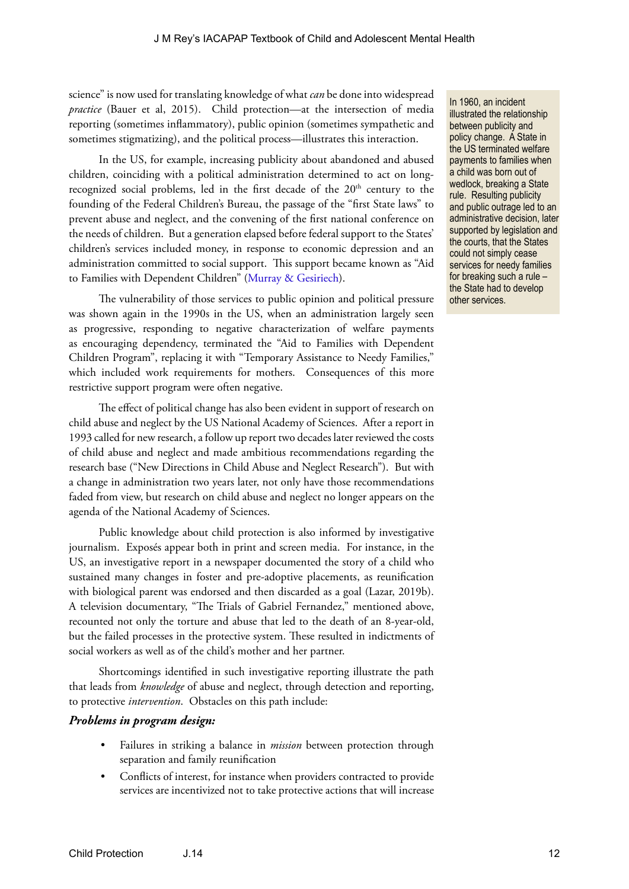science" is now used for translating knowledge of what *can* be done into widespread *practice* (Bauer et al, 2015). Child protection—at the intersection of media reporting (sometimes inflammatory), public opinion (sometimes sympathetic and sometimes stigmatizing), and the political process—illustrates this interaction.

In the US, for example, increasing publicity about abandoned and abused children, coinciding with a political administration determined to act on longrecognized social problems, led in the first decade of the 20<sup>th</sup> century to the founding of the Federal Children's Bureau, the passage of the "first State laws" to prevent abuse and neglect, and the convening of the first national conference on the needs of children. But a generation elapsed before federal support to the States' children's services included money, in response to economic depression and an administration committed to social support. This support became known as "Aid to Families with Dependent Children" ([Murray & Gesiriech\)](https://www.masslegalservices.org/system/files/library/Brief%20Legislative%20History%20of%20Child%20Welfare%20System.pdf).

The vulnerability of those services to public opinion and political pressure was shown again in the 1990s in the US, when an administration largely seen as progressive, responding to negative characterization of welfare payments as encouraging dependency, terminated the "Aid to Families with Dependent Children Program", replacing it with "Temporary Assistance to Needy Families," which included work requirements for mothers. Consequences of this more restrictive support program were often negative.

The effect of political change has also been evident in support of research on child abuse and neglect by the US National Academy of Sciences. After a report in 1993 called for new research, a follow up report two decades later reviewed the costs of child abuse and neglect and made ambitious recommendations regarding the research base ("New Directions in Child Abuse and Neglect Research"). But with a change in administration two years later, not only have those recommendations faded from view, but research on child abuse and neglect no longer appears on the agenda of the National Academy of Sciences.

Public knowledge about child protection is also informed by investigative journalism. Exposés appear both in print and screen media. For instance, in the US, an investigative report in a newspaper documented the story of a child who sustained many changes in foster and pre-adoptive placements, as reunification with biological parent was endorsed and then discarded as a goal (Lazar, 2019b). A television documentary, "The Trials of Gabriel Fernandez," mentioned above, recounted not only the torture and abuse that led to the death of an 8-year-old, but the failed processes in the protective system. These resulted in indictments of social workers as well as of the child's mother and her partner.

Shortcomings identified in such investigative reporting illustrate the path that leads from *knowledge* of abuse and neglect, through detection and reporting, to protective *intervention*. Obstacles on this path include:

#### *Problems in program design:*

- Failures in striking a balance in *mission* between protection through separation and family reunification
- Conflicts of interest, for instance when providers contracted to provide services are incentivized not to take protective actions that will increase

In 1960, an incident illustrated the relationship between publicity and policy change. A State in the US terminated welfare payments to families when a child was born out of wedlock, breaking a State rule. Resulting publicity and public outrage led to an administrative decision, later supported by legislation and the courts, that the States could not simply cease services for needy families for breaking such a rule – the State had to develop other services.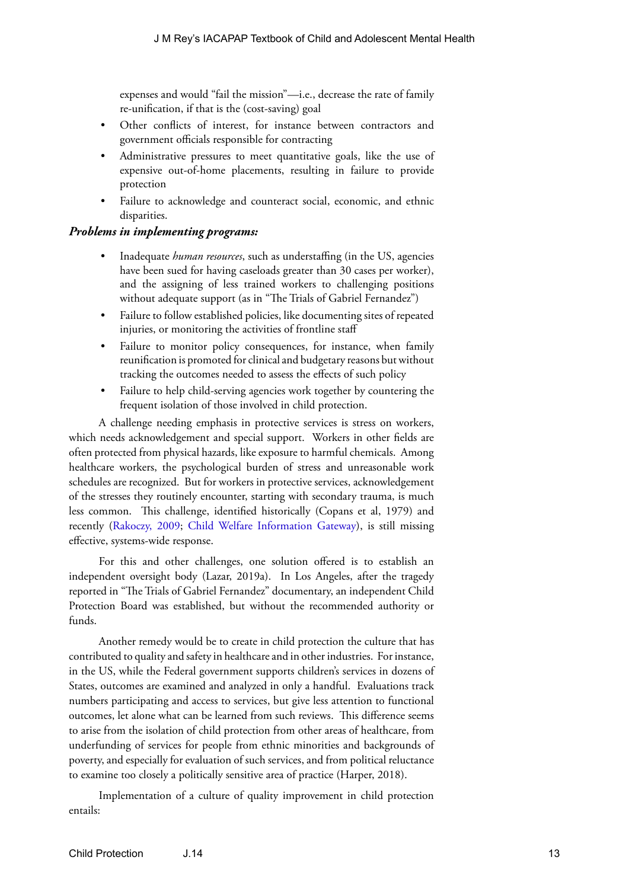expenses and would "fail the mission"—i.e., decrease the rate of family re-unification, if that is the (cost-saving) goal

- Other conflicts of interest, for instance between contractors and government officials responsible for contracting
- Administrative pressures to meet quantitative goals, like the use of expensive out-of-home placements, resulting in failure to provide protection
- Failure to acknowledge and counteract social, economic, and ethnic disparities.

#### *Problems in implementing programs:*

- Inadequate *human resources*, such as understaffing (in the US, agencies have been sued for having caseloads greater than 30 cases per worker), and the assigning of less trained workers to challenging positions without adequate support (as in "The Trials of Gabriel Fernandez")
- Failure to follow established policies, like documenting sites of repeated injuries, or monitoring the activities of frontline staff
- Failure to monitor policy consequences, for instance, when family reunification is promoted for clinical and budgetary reasons but without tracking the outcomes needed to assess the effects of such policy
- Failure to help child-serving agencies work together by countering the frequent isolation of those involved in child protection.

A challenge needing emphasis in protective services is stress on workers, which needs acknowledgement and special support. Workers in other fields are often protected from physical hazards, like exposure to harmful chemicals. Among healthcare workers, the psychological burden of stress and unreasonable work schedules are recognized. But for workers in protective services, acknowledgement of the stresses they routinely encounter, starting with secondary trauma, is much less common. This challenge, identified historically (Copans et al, 1979) and recently ([Rakoczy, 2009;](https://www.socialworker.com/feature-articles/practice/Compassion_Fatigue_in_Child_Welfare/) [Child Welfare Information Gateway](https://www.childwelfare.gov/aboutus/)), is still missing effective, systems-wide response.

For this and other challenges, one solution offered is to establish an independent oversight body (Lazar, 2019a). In Los Angeles, after the tragedy reported in "The Trials of Gabriel Fernandez" documentary, an independent Child Protection Board was established, but without the recommended authority or funds.

Another remedy would be to create in child protection the culture that has contributed to quality and safety in healthcare and in other industries. For instance, in the US, while the Federal government supports children's services in dozens of States, outcomes are examined and analyzed in only a handful. Evaluations track numbers participating and access to services, but give less attention to functional outcomes, let alone what can be learned from such reviews. This difference seems to arise from the isolation of child protection from other areas of healthcare, from underfunding of services for people from ethnic minorities and backgrounds of poverty, and especially for evaluation of such services, and from political reluctance to examine too closely a politically sensitive area of practice (Harper, 2018).

Implementation of a culture of quality improvement in child protection entails: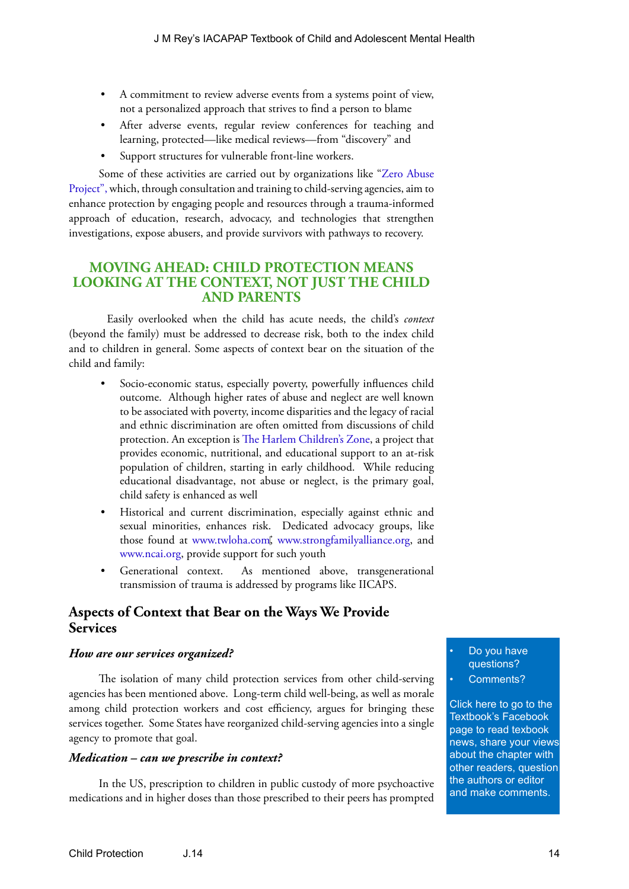- A commitment to review adverse events from a systems point of view, not a personalized approach that strives to find a person to blame
- After adverse events, regular review conferences for teaching and learning, protected—like medical reviews—from "discovery" and
- Support structures for vulnerable front-line workers.

Some of these activities are carried out by organizations like ["Zero Abuse](https://www.zeroabuseproject.org/)  [Project",](https://www.zeroabuseproject.org/) which, through consultation and training to child-serving agencies, aim to enhance protection by engaging people and resources through a trauma-informed approach of education, research, advocacy, and technologies that strengthen investigations, expose abusers, and provide survivors with pathways to recovery.

### **MOVING AHEAD: CHILD PROTECTION MEANS LOOKING AT THE CONTEXT, NOT JUST THE CHILD AND PARENTS**

Easily overlooked when the child has acute needs, the child's *context* (beyond the family) must be addressed to decrease risk, both to the index child and to children in general. Some aspects of context bear on the situation of the child and family:

- Socio-economic status, especially poverty, powerfully influences child outcome. Although higher rates of abuse and neglect are well known to be associated with poverty, income disparities and the legacy of racial and ethnic discrimination are often omitted from discussions of child protection. An exception is [The Harlem Children's Zone](http://www.hcz.org), a project that provides economic, nutritional, and educational support to an at-risk population of children, starting in early childhood. While reducing educational disadvantage, not abuse or neglect, is the primary goal, child safety is enhanced as well
- Historical and current discrimination, especially against ethnic and sexual minorities, enhances risk. Dedicated advocacy groups, like those found at [www.twloha.com](http://www.twloha.com), [www.strongfamilyalliance.org,](http://www.strongfamilyalliance.org) and [www.ncai.org](http://www.ncai.org), provide support for such youth
- Generational context. As mentioned above, transgenerational transmission of trauma is addressed by programs like IICAPS.

# **Aspects of Context that Bear on the Ways We Provide Services**

#### *How are our services organized?*

The isolation of many child protection services from other child-serving agencies has been mentioned above. Long-term child well-being, as well as morale among child protection workers and cost efficiency, argues for bringing these services together. Some States have reorganized child-serving agencies into a single agency to promote that goal.

#### *Medication – can we prescribe in context?*

In the US, prescription to children in public custody of more psychoactive medications and in higher doses than those prescribed to their peers has prompted

Do you have questions? Comments?

Click here to go to the Textbook's Facebook page to read texbook [news, share your views](https://www.facebook.com/pages/IACAPAP-Textbook-of-Child-and-Adolescent-Mental-Health/249690448525378)  about the chapter with other readers, question the authors or editor and make comments.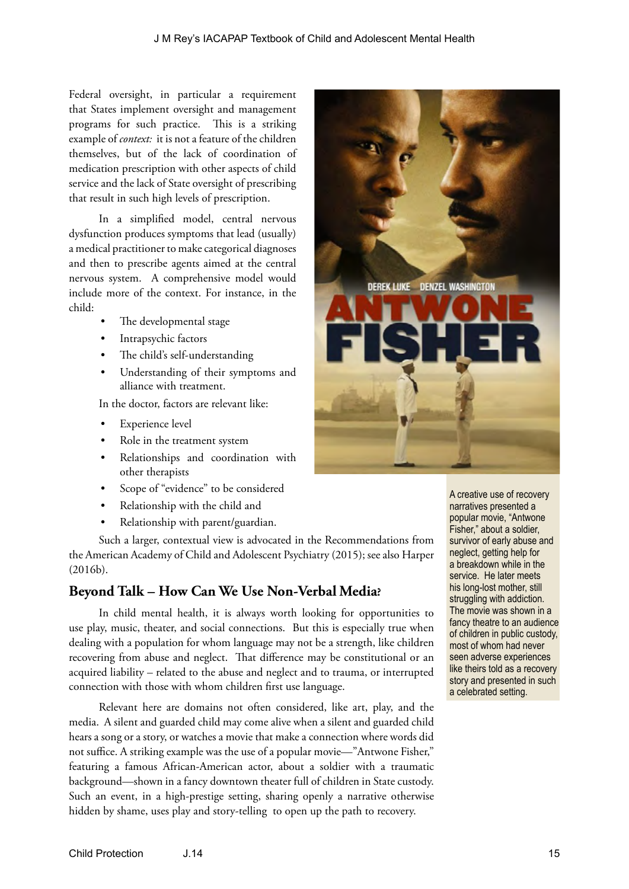Federal oversight, in particular a requirement that States implement oversight and management programs for such practice. This is a striking example of *context:* it is not a feature of the children themselves, but of the lack of coordination of medication prescription with other aspects of child service and the lack of State oversight of prescribing that result in such high levels of prescription.

In a simplified model, central nervous dysfunction produces symptoms that lead (usually) a medical practitioner to make categorical diagnoses and then to prescribe agents aimed at the central nervous system. A comprehensive model would include more of the context. For instance, in the child:

- The developmental stage
- Intrapsychic factors
- The child's self-understanding
- Understanding of their symptoms and alliance with treatment.

In the doctor, factors are relevant like:

- **Experience level**
- Role in the treatment system
- Relationships and coordination with other therapists
- Scope of "evidence" to be considered
- Relationship with the child and
- Relationship with parent/guardian.

Such a larger, contextual view is advocated in the Recommendations from the American Academy of Child and Adolescent Psychiatry (2015); see also Harper (2016b).

# **Beyond Talk – How Can We Use Non-Verbal Media?**

In child mental health, it is always worth looking for opportunities to use play, music, theater, and social connections. But this is especially true when dealing with a population for whom language may not be a strength, like children recovering from abuse and neglect. That difference may be constitutional or an acquired liability – related to the abuse and neglect and to trauma, or interrupted connection with those with whom children first use language.

Relevant here are domains not often considered, like art, play, and the media. A silent and guarded child may come alive when a silent and guarded child hears a song or a story, or watches a movie that make a connection where words did not suffice. A striking example was the use of a popular movie—"Antwone Fisher," featuring a famous African-American actor, about a soldier with a traumatic background—shown in a fancy downtown theater full of children in State custody. Such an event, in a high-prestige setting, sharing openly a narrative otherwise hidden by shame, uses play and story-telling to open up the path to recovery.



A creative use of recovery narratives presented a popular movie, "Antwone Fisher," about a soldier, survivor of early abuse and neglect, getting help for a breakdown while in the service. He later meets his long-lost mother, still struggling with addiction. The movie was shown in a fancy theatre to an audience of children in public custody, most of whom had never seen adverse experiences like theirs told as a recovery story and presented in such a celebrated setting.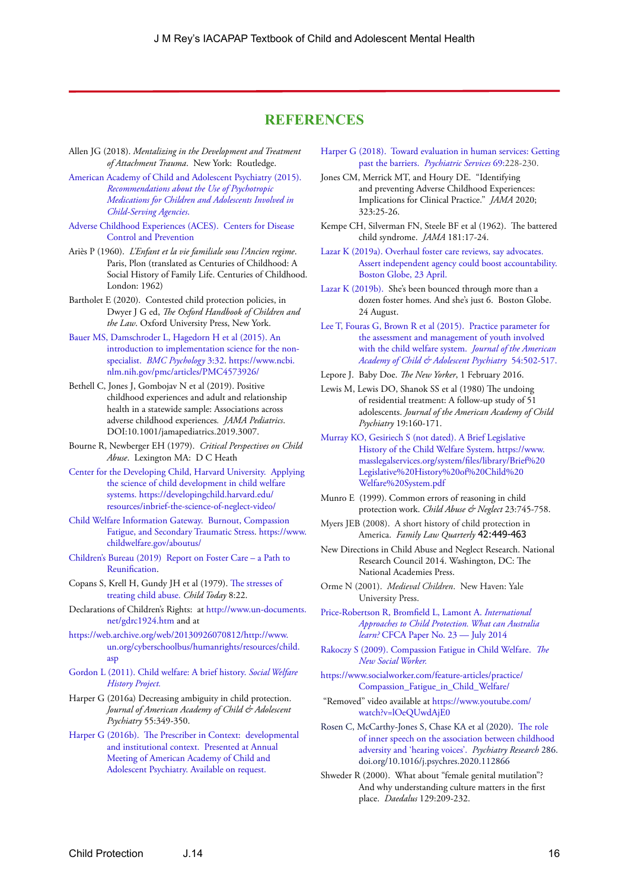#### **REFERENCES**

- Allen JG (2018). *Mentalizing in the Development and Treatment of Attachment Trauma*. New York: Routledge.
- [American Academy of Child and Adolescent Psychiatry \(2015\).](https://www.aacap.org/App_Themes/AACAP/docs/clinical_practice_center/systems_of_care/AACAP_Psychotropic_Medication_Recommendations_2015_FINAL.pdf)  *[Recommendations about the Use of Psychotropic](https://www.aacap.org/App_Themes/AACAP/docs/clinical_practice_center/systems_of_care/AACAP_Psychotropic_Medication_Recommendations_2015_FINAL.pdf)  [Medications for Children and Adolescents Involved in](https://www.aacap.org/App_Themes/AACAP/docs/clinical_practice_center/systems_of_care/AACAP_Psychotropic_Medication_Recommendations_2015_FINAL.pdf)  [Child-Serving Agencies](https://www.aacap.org/App_Themes/AACAP/docs/clinical_practice_center/systems_of_care/AACAP_Psychotropic_Medication_Recommendations_2015_FINAL.pdf)*.
- [Adverse Childhood Experiences \(ACES\). Centers for Disease](https://www.cdc.gov/violenceprevention/childabuseandneglect/acestudy/)  [Control and Prevention](https://www.cdc.gov/violenceprevention/childabuseandneglect/acestudy/)
- Ariès P (1960). *L'Enfant et la vie familiale sous l'Ancien regime*. Paris, Plon (translated as Centuries of Childhood: A Social History of Family Life. Centuries of Childhood. London: 1962)
- Bartholet E (2020). [Contested child protection policies](https://bartholet.wpengine.com/wp-content/uploads/2019/06/Contested-Child-Protection-Policies.pdf), in Dwyer J G ed, *The Oxford Handbook of Children and the Law*. Oxford University Press, New York.
- [Bauer MS, Damschroder L, Hagedorn H et al \(2015\). An](file:///D:/Users/jmrey/Documents/eBOOK/BOOK%202020%20ED/B.3%20Child%20protection/Bauer%20MS,%20Damschroder%20L,%20Hagedorn%20H%20et%20al%20(2015).%20An%20introduction%20to%20implementation%20science%20for%20the%20non-specialist.%20%20BMC%20Psychology%203:32)  [introduction to implementation science for the non](file:///D:/Users/jmrey/Documents/eBOOK/BOOK%202020%20ED/B.3%20Child%20protection/Bauer%20MS,%20Damschroder%20L,%20Hagedorn%20H%20et%20al%20(2015).%20An%20introduction%20to%20implementation%20science%20for%20the%20non-specialist.%20%20BMC%20Psychology%203:32)specialist. *[BMC Psychology](file:///D:/Users/jmrey/Documents/eBOOK/BOOK%202020%20ED/B.3%20Child%20protection/Bauer%20MS,%20Damschroder%20L,%20Hagedorn%20H%20et%20al%20(2015).%20An%20introduction%20to%20implementation%20science%20for%20the%20non-specialist.%20%20BMC%20Psychology%203:32)* 3:32. [https://www.ncbi.](https://www.ncbi.nlm.nih.gov/pmc/articles/PMC4573926/) [nlm.nih.gov/pmc/articles/PMC4573926/](https://www.ncbi.nlm.nih.gov/pmc/articles/PMC4573926/)
- Bethell C, Jones J, Gombojav N et al (2019). Positive childhood experiences and adult and relationship health in a statewide sample: Associations across adverse childhood experiences*. JAMA Pediatrics*. DOI:10.1001/jamapediatrics.2019.3007.
- Bourne R, Newberger EH (1979). *Critical Perspectives on Child Abuse*. Lexington MA: D C Heath
- [Center for the Developing Child, Harvard University. Applying](https://developingchild.harvard.edu/resources/inbrief-the-science-of-neglect-video/)  [the science of child development in child welfare](https://developingchild.harvard.edu/resources/inbrief-the-science-of-neglect-video/)  [systems.](https://developingchild.harvard.edu/resources/inbrief-the-science-of-neglect-video/) [https://developingchild.harvard.edu/](https://developingchild.harvard.edu/resources/inbrief-the-science-of-neglect-video/) [resources/inbrief-the-science-of-neglect-video/](https://developingchild.harvard.edu/resources/inbrief-the-science-of-neglect-video/)
- [Child Welfare Information Gateway. Burnout, Compassion](https://www.childwelfare.gov/aboutus/)  [Fatigue, and Secondary Traumatic Stress. https://www.](https://www.childwelfare.gov/aboutus/) [childwelfare.gov/aboutus/](https://www.childwelfare.gov/aboutus/)
- [Children's Bureau \(2019\) Report on Foster Care a Path to](https://www.acf.hhs.gov/cb/resource/child-welfare-podcast-foster-care-part1)  [Reunification](https://www.acf.hhs.gov/cb/resource/child-welfare-podcast-foster-care-part1).
- Copans S, Krell H, Gundy JH et al (1979). [The stresses of](https://www.ncbi.nlm.nih.gov/pubmed/436545)  [treating child abuse.](https://www.ncbi.nlm.nih.gov/pubmed/436545) *Child Today* 8:22.
- Declarations of Children's Rights: at [http://www.un-documents.](http://www.un-documents.net/gdrc1924.htm) [net/gdrc1924.htm](http://www.un-documents.net/gdrc1924.htm) and at
- [https://web.archive.org/web/20130926070812/http://www.](https://web.archive.org/web/20130926070812/http:/www.un.org/cyberschoolbus/humanrights/resources/child.asp) [un.org/cyberschoolbus/humanrights/resources/child.](https://web.archive.org/web/20130926070812/http:/www.un.org/cyberschoolbus/humanrights/resources/child.asp) [asp](https://web.archive.org/web/20130926070812/http:/www.un.org/cyberschoolbus/humanrights/resources/child.asp)
- [Gordon L \(2011\). Child welfare: A brief history.](http://socialwelfare.library.vcu.edu/programs/child-welfare-overview/) *Social Welfare [History Project.](http://socialwelfare.library.vcu.edu/programs/child-welfare-overview/)*
- Harper G (2016a) Decreasing ambiguity in child protection. *Journal of American Academy of Child & Adolescent Psychiatry* 55:349-350.
- Harper G (2016b). The Prescriber in Context: developmental and institutional context. Presented at Annual Meeting of American Academy of Child and Adolescent Psychiatry. Available on request.
- Harper G (2018). Toward evaluation in human services: Getting past the barriers. *Psychiatric Services* 69:228-230.
- Jones CM, Merrick MT, and Houry DE. "Identifying and preventing Adverse Childhood Experiences: Implications for Clinical Practice." *JAMA* 2020; 323:25-26.
- Kempe CH, Silverman FN, Steele BF et al (1962). The battered child syndrome. *JAMA* 181:17-24.
- Lazar K (2019a). Overhaul foster care reviews, say advocates. Assert independent agency could boost accountability. Boston Globe, 23 April.
- Lazar K (2019b). She's been bounced through more than a dozen foster homes. And she's just 6. Boston Globe. 24 August.
- [Lee T, Fouras G, Brown R et al \(2015\). Practice parameter for](https://jaacap.org/article/S0890-8567(15)00148-3/fulltext)  [the assessment and management of youth involved](https://jaacap.org/article/S0890-8567(15)00148-3/fulltext)  [with the child welfare system.](https://jaacap.org/article/S0890-8567(15)00148-3/fulltext) *Journal of the American [Academy of Child & Adolescent Psychiatry](https://jaacap.org/article/S0890-8567(15)00148-3/fulltext)* 54:502-517.
- Lepore J. Baby Doe. *The New Yorker*, 1 February 2016.
- Lewis M, Lewis DO, Shanok SS et al (1980) The undoing of residential treatment: A follow-up study of 51 adolescents. *Journal of the American Academy of Child Psychiatry* 19:160-171.
- [Murray KO, Gesiriech S \(not dated\). A Brief Legislative](https://www.masslegalservices.org/system/files/library/Brief%20Legislative%20History%20of%20Child%20Welfare%20System.pdf)  [History of the Child Welfare System](https://www.masslegalservices.org/system/files/library/Brief%20Legislative%20History%20of%20Child%20Welfare%20System.pdf). [https://www.](https://www.masslegalservices.org/system/files/library/Brief%20Legislative%20History%20of%20Child%20Welfare%20System.pdf) [masslegalservices.org/system/files/library/Brief%20](https://www.masslegalservices.org/system/files/library/Brief%20Legislative%20History%20of%20Child%20Welfare%20System.pdf) [Legislative%20History%20of%20Child%20](https://www.masslegalservices.org/system/files/library/Brief%20Legislative%20History%20of%20Child%20Welfare%20System.pdf) [Welfare%20System.pdf](https://www.masslegalservices.org/system/files/library/Brief%20Legislative%20History%20of%20Child%20Welfare%20System.pdf)
- Munro E (1999). Common errors of reasoning in child protection work. *Child Abuse & Neglect* 23:745-758.
- Myers JEB (2008). A short history of child protection in America. *Family Law Quarterly* 42:449-463
- New Directions in Child Abuse and Neglect Research. National Research Council 2014. Washington, DC: The National Academies Press.
- Orme N (2001). *Medieval Children*. New Haven: Yale University Press.
- [Price-Robertson R, Bromfield L, Lamont A.](https://aifs.gov.au/cfca/sites/default/files/publication-documents/cfca-paper23.pdf) *International [Approaches to Child Protection. What can Australia](https://aifs.gov.au/cfca/sites/default/files/publication-documents/cfca-paper23.pdf)  learn?* [CFCA Paper No. 23 — July 2014](https://aifs.gov.au/cfca/sites/default/files/publication-documents/cfca-paper23.pdf)
- [Rakoczy S \(2009\). Compassion Fatigue in Child Welfare.](https://www.socialworker.com/feature-articles/practice/Compassion_Fatigue_in_Child_Welfare/) *The [New Social Worker.](https://www.socialworker.com/feature-articles/practice/Compassion_Fatigue_in_Child_Welfare/)*
- [https://www.socialworker.com/feature-articles/practice/](https://www.socialworker.com/feature-articles/practice/Compassion_Fatigue_in_Child_Welfare/) [Compassion\\_Fatigue\\_in\\_Child\\_Welfare/](https://www.socialworker.com/feature-articles/practice/Compassion_Fatigue_in_Child_Welfare/)
- "Removed" video available at [https://www.youtube.com/](https://www.youtube.com/watch?v=lOeQUwdAjE0) [watch?v=lOeQUwdAjE0](https://www.youtube.com/watch?v=lOeQUwdAjE0)
- Rosen C, McCarthy-Jones S, Chase KA et al (2020). [The role](https://pubmed.ncbi.nlm.nih.gov/32088506-the-role-of-inner-speech-on-the-association-between-childhood-adversity-and-hearing-voices/)  [of inner speech on the association between childhood](https://pubmed.ncbi.nlm.nih.gov/32088506-the-role-of-inner-speech-on-the-association-between-childhood-adversity-and-hearing-voices/)  [adversity and 'hearing voices'](https://pubmed.ncbi.nlm.nih.gov/32088506-the-role-of-inner-speech-on-the-association-between-childhood-adversity-and-hearing-voices/). *Psychiatry Research* 286. doi.org/10.1016/j.psychres.2020.112866
- Shweder R (2000). What about "female genital mutilation"? And why understanding culture matters in the first place. *Daedalus* 129:209-232.